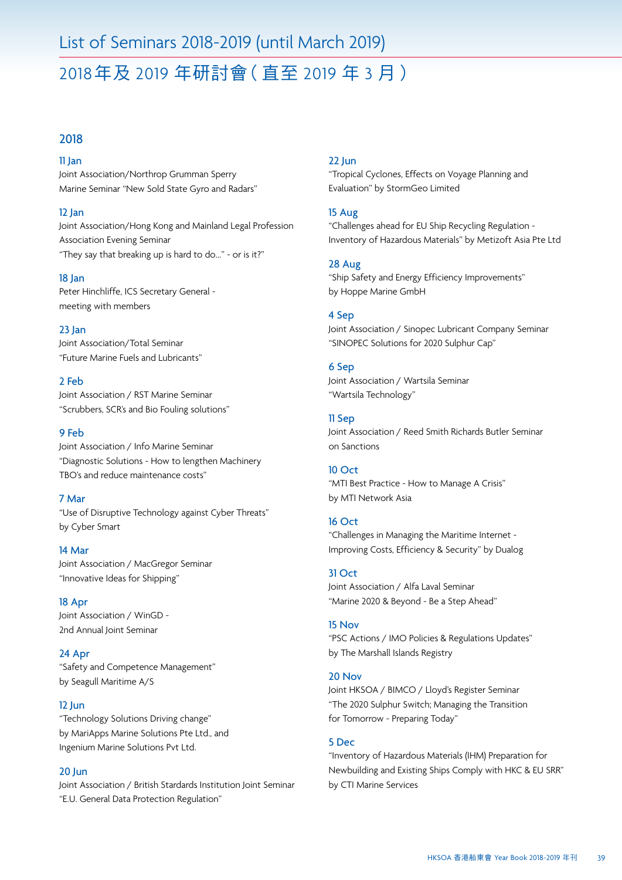# List of Seminars 2018-2019 (until March 2019)

# 2018年及 2019 年研討會(直至 2019 年 3 月)

# 2018

### 11 Jan

Joint Association/Northrop Grumman Sperry Marine Seminar "New Sold State Gyro and Radars"

### 12 Jan

Joint Association/Hong Kong and Mainland Legal Profession Association Evening Seminar "They say that breaking up is hard to do…" - or is it?"

#### 18 Jan

Peter Hinchliffe, ICS Secretary General meeting with members

### 23 Jan

Joint Association/Total Seminar "Future Marine Fuels and Lubricants"

#### 2 Feb

Joint Association / RST Marine Seminar "Scrubbers, SCR's and Bio Fouling solutions"

## 9 Feb

Joint Association / Info Marine Seminar "Diagnostic Solutions - How to lengthen Machinery TBO's and reduce maintenance costs"

#### 7 Mar

"Use of Disruptive Technology against Cyber Threats" by Cyber Smart

## 14 Mar Joint Association / MacGregor Seminar "Innovative Ideas for Shipping"

18 Apr Joint Association / WinGD - 2nd Annual Joint Seminar

## 24 Apr "Safety and Competence Management" by Seagull Maritime A/S

### 12 Jun

"Technology Solutions Driving change" by MariApps Marine Solutions Pte Ltd., and Ingenium Marine Solutions Pvt Ltd.

## 20 Jun

Joint Association / British Stardards Institution Joint Seminar "E.U. General Data Protection Regulation"

## 22 Jun

"Tropical Cyclones, Effects on Voyage Planning and Evaluation" by StormGeo Limited

## 15 Aug

"Challenges ahead for EU Ship Recycling Regulation - Inventory of Hazardous Materials" by Metizoft Asia Pte Ltd

### 28 Aug

"Ship Safety and Energy Efficiency Improvements" by Hoppe Marine GmbH

## 4 Sep

Joint Association / Sinopec Lubricant Company Seminar "SINOPEC Solutions for 2020 Sulphur Cap"

### 6 Sep

Joint Association / Wartsila Seminar "Wartsila Technology"

### 11 Sep

Joint Association / Reed Smith Richards Butler Seminar on Sanctions

#### 10 Oct

"MTI Best Practice - How to Manage A Crisis" by MTI Network Asia

### 16 Oct

"Challenges in Managing the Maritime Internet - Improving Costs, Efficiency & Security" by Dualog

## 31 Oct

Joint Association / Alfa Laval Seminar "Marine 2020 & Beyond - Be a Step Ahead"

# 15 Nov

"PSC Actions / IMO Policies & Regulations Updates" by The Marshall Islands Registry

#### 20 Nov

Joint HKSOA / BIMCO / Lloyd's Register Seminar "The 2020 Sulphur Switch; Managing the Transition for Tomorrow - Preparing Today"

#### 5 Dec

"Inventory of Hazardous Materials (IHM) Preparation for Newbuilding and Existing Ships Comply with HKC & EU SRR" by CTI Marine Services